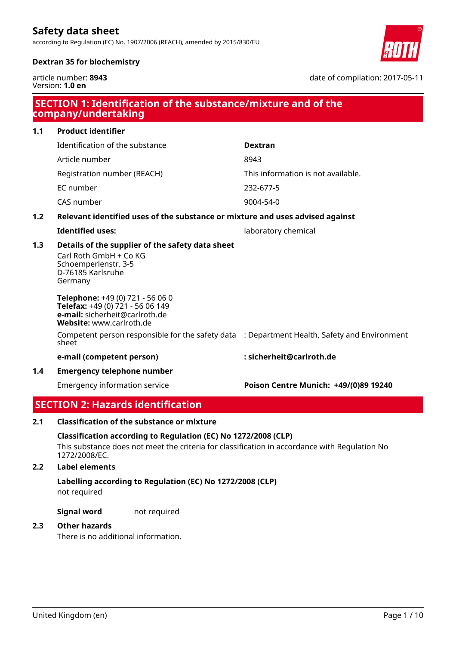according to Regulation (EC) No. 1907/2006 (REACH), amended by 2015/830/EU



date of compilation: 2017-05-11

# **Dextran 35 for biochemistry**

article number: **8943** Version: **1.0 en**

|     | SECTION 1: Identification of the substance/mixture and of the<br>company/undertaking                                               |                                       |  |  |  |
|-----|------------------------------------------------------------------------------------------------------------------------------------|---------------------------------------|--|--|--|
| 1.1 | <b>Product identifier</b>                                                                                                          |                                       |  |  |  |
|     | Identification of the substance                                                                                                    | <b>Dextran</b>                        |  |  |  |
|     | Article number                                                                                                                     | 8943                                  |  |  |  |
|     | Registration number (REACH)                                                                                                        | This information is not available.    |  |  |  |
|     | EC number                                                                                                                          | 232-677-5                             |  |  |  |
|     | CAS number                                                                                                                         | 9004-54-0                             |  |  |  |
| 1.2 | Relevant identified uses of the substance or mixture and uses advised against                                                      |                                       |  |  |  |
|     | <b>Identified uses:</b>                                                                                                            | laboratory chemical                   |  |  |  |
| 1.3 | Details of the supplier of the safety data sheet<br>Carl Roth GmbH + Co KG<br>Schoemperlenstr. 3-5<br>D-76185 Karlsruhe<br>Germany |                                       |  |  |  |
|     | Telephone: +49 (0) 721 - 56 06 0<br>Telefax: +49 (0) 721 - 56 06 149<br>e-mail: sicherheit@carlroth.de<br>Website: www.carlroth.de |                                       |  |  |  |
|     | Competent person responsible for the safety data : Department Health, Safety and Environment<br>sheet                              |                                       |  |  |  |
|     | e-mail (competent person)                                                                                                          | : sicherheit@carlroth.de              |  |  |  |
| 1.4 | <b>Emergency telephone number</b>                                                                                                  |                                       |  |  |  |
|     | <b>Emergency information service</b>                                                                                               | Poison Centre Munich: +49/(0)89 19240 |  |  |  |
|     | <b>SECTION 2: Hazards identification</b>                                                                                           |                                       |  |  |  |

# **2.1 Classification of the substance or mixture**

## **Classification according to Regulation (EC) No 1272/2008 (CLP)**

This substance does not meet the criteria for classification in accordance with Regulation No 1272/2008/EC.

# **2.2 Label elements**

# not required **Labelling according to Regulation (EC) No 1272/2008 (CLP)**

**Signal word** not required

# **2.3 Other hazards**

There is no additional information.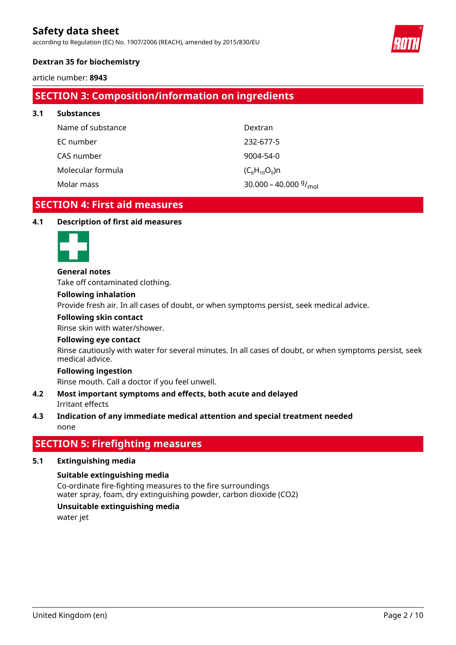according to Regulation (EC) No. 1907/2006 (REACH), amended by 2015/830/EU



# **Dextran 35 for biochemistry**

article number: **8943**

# **SECTION 3: Composition/information on ingredients**

| 3.1 | <b>Substances</b> |                                              |
|-----|-------------------|----------------------------------------------|
|     | Name of substance | Dextran                                      |
|     | EC number         | 232-677-5                                    |
|     | CAS number        | 9004-54-0                                    |
|     | Molecular formula | $(C_6H_{10}O_5)n$                            |
|     | Molar mass        | 30.000 - 40.000 $\frac{9}{1}$ <sub>mol</sub> |

# **SECTION 4: First aid measures**

#### **4.1 Description of first aid measures**



#### **General notes**

Take off contaminated clothing.

#### **Following inhalation**

Provide fresh air. In all cases of doubt, or when symptoms persist, seek medical advice.

#### **Following skin contact**

Rinse skin with water/shower.

## **Following eye contact**

Rinse cautiously with water for several minutes. In all cases of doubt, or when symptoms persist, seek medical advice.

#### **Following ingestion**

Rinse mouth. Call a doctor if you feel unwell.

## Irritant effects **4.2 Most important symptoms and effects, both acute and delayed**

# none **4.3 Indication of any immediate medical attention and special treatment needed**

# **SECTION 5: Firefighting measures**

## **5.1 Extinguishing media**

## **Suitable extinguishing media**

Co-ordinate fire-fighting measures to the fire surroundings water spray, foam, dry extinguishing powder, carbon dioxide (CO2)

# **Unsuitable extinguishing media**

water jet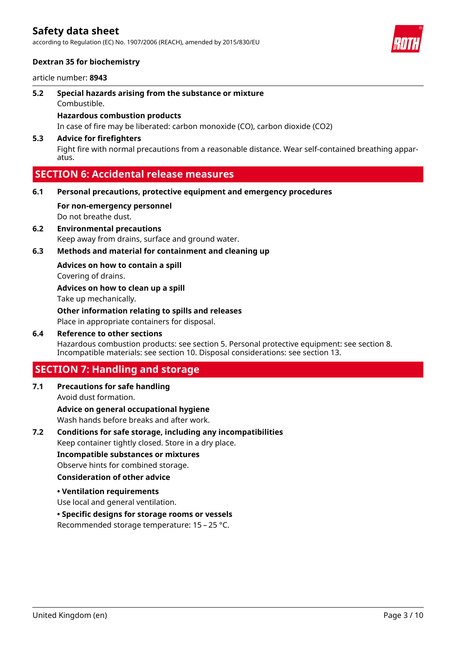according to Regulation (EC) No. 1907/2006 (REACH), amended by 2015/830/EU



# **Dextran 35 for biochemistry**

article number: **8943**

Combustible. **5.2 Special hazards arising from the substance or mixture**

# **Hazardous combustion products**

In case of fire may be liberated: carbon monoxide (CO), carbon dioxide (CO2)

## **5.3 Advice for firefighters**

Fight fire with normal precautions from a reasonable distance. Wear self-contained breathing apparatus.

# **SECTION 6: Accidental release measures**

- **6.1 Personal precautions, protective equipment and emergency procedures**
	- Do not breathe dust. **For non-emergency personnel**
- Keep away from drains, surface and ground water. **6.2 Environmental precautions**
- **6.3 Methods and material for containment and cleaning up**

**Advices on how to contain a spill**

Covering of drains.

Take up mechanically. **Advices on how to clean up a spill**

Place in appropriate containers for disposal. **Other information relating to spills and releases**

Hazardous combustion products: see section 5. Personal protective equipment: see section 8. Incompatible materials: see section 10. Disposal considerations: see section 13. **6.4 Reference to other sections**

# **SECTION 7: Handling and storage**

Avoid dust formation. **7.1 Precautions for safe handling**

Wash hands before breaks and after work. **Advice on general occupational hygiene**

Keep container tightly closed. Store in a dry place. **7.2 Conditions for safe storage, including any incompatibilities**

**Incompatible substances or mixtures**

Observe hints for combined storage.

# **Consideration of other advice**

**• Ventilation requirements**

Use local and general ventilation.

## **• Specific designs for storage rooms or vessels**

Recommended storage temperature: 15 – 25 °C.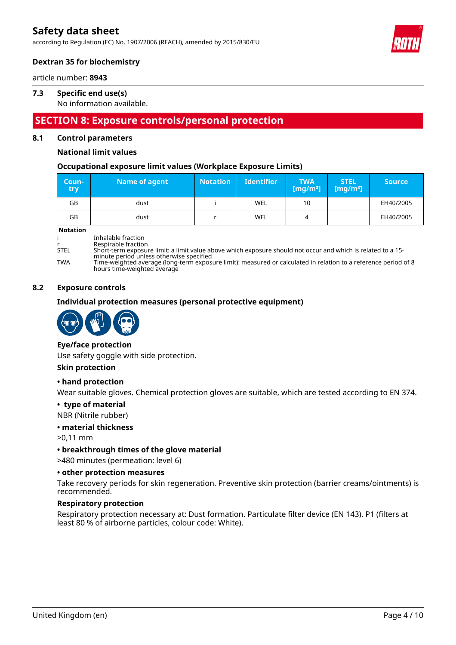according to Regulation (EC) No. 1907/2006 (REACH), amended by 2015/830/EU



# **Dextran 35 for biochemistry**

article number: **8943**

# **7.3 Specific end use(s)**

No information available.

# **SECTION 8: Exposure controls/personal protection**

# **8.1 Control parameters**

# **National limit values**

## **Occupational exposure limit values (Workplace Exposure Limits)**

| Coun-<br>try | Name of agent | <b>Notation</b> | <b>Identifier</b> | <b>TWA</b><br>[ $mg/m3$ ] | <b>STEL</b><br>[mg/m $^{3}$ ] $^{\circ}$ | <b>Source</b> |
|--------------|---------------|-----------------|-------------------|---------------------------|------------------------------------------|---------------|
| GB           | dust          |                 | WEL               | 10                        |                                          | EH40/2005     |
| GB           | dust          |                 | <b>WEL</b>        | 4                         |                                          | EH40/2005     |

#### **Notation**

i Inhalable fraction

r Respirable fraction<br>STFI Short-term exposui STEL Short-term exposure limit: a limit value above which exposure should not occur and which is related to a 15-

minute period unless otherwise specified TWA Time-weighted average (long-term exposure limit): measured or calculated in relation to a reference period of 8 hours time-weighted average

#### **8.2 Exposure controls**

## **Individual protection measures (personal protective equipment)**



## **Eye/face protection**

Use safety goggle with side protection.

## **Skin protection**

## **• hand protection**

Wear suitable gloves. Chemical protection gloves are suitable, which are tested according to EN 374.

## **• type of material**

NBR (Nitrile rubber)

## **• material thickness**

>0,11 mm

## **• breakthrough times of the glove material**

>480 minutes (permeation: level 6)

## **• other protection measures**

Take recovery periods for skin regeneration. Preventive skin protection (barrier creams/ointments) is recommended.

#### **Respiratory protection**

Respiratory protection necessary at: Dust formation. Particulate filter device (EN 143). P1 (filters at least 80 % of airborne particles, colour code: White).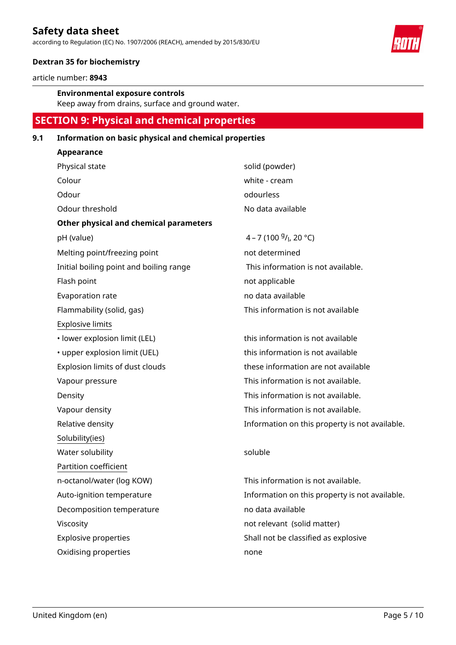according to Regulation (EC) No. 1907/2006 (REACH), amended by 2015/830/EU



# **Dextran 35 for biochemistry**

article number: **8943**

## **Environmental exposure controls**

Keep away from drains, surface and ground water.

# **SECTION 9: Physical and chemical properties**

# **9.1 Information on basic physical and chemical properties**

| Appearance                                    |                                                |
|-----------------------------------------------|------------------------------------------------|
| Physical state                                | solid (powder)                                 |
| Colour                                        | white - cream                                  |
| Odour                                         | odourless                                      |
| Odour threshold                               | No data available                              |
| <b>Other physical and chemical parameters</b> |                                                |
| pH (value)                                    | 4 – 7 (100 $9/1$ , 20 °C)                      |
| Melting point/freezing point                  | not determined                                 |
| Initial boiling point and boiling range       | This information is not available.             |
| Flash point                                   | not applicable                                 |
| Evaporation rate                              | no data available                              |
| Flammability (solid, gas)                     | This information is not available              |
| <b>Explosive limits</b>                       |                                                |
| · lower explosion limit (LEL)                 | this information is not available              |
| • upper explosion limit (UEL)                 | this information is not available              |
| Explosion limits of dust clouds               | these information are not available            |
| Vapour pressure                               | This information is not available.             |
| Density                                       | This information is not available.             |
| Vapour density                                | This information is not available.             |
| Relative density                              | Information on this property is not available. |
| Solubility(ies)                               |                                                |
| Water solubility                              | soluble                                        |
| Partition coefficient                         |                                                |
| n-octanol/water (log KOW)                     | This information is not available.             |
| Auto-ignition temperature                     | Information on this property is not available. |
| Decomposition temperature                     | no data available                              |
| Viscosity                                     | not relevant (solid matter)                    |
| <b>Explosive properties</b>                   | Shall not be classified as explosive           |
| Oxidising properties                          | none                                           |
|                                               |                                                |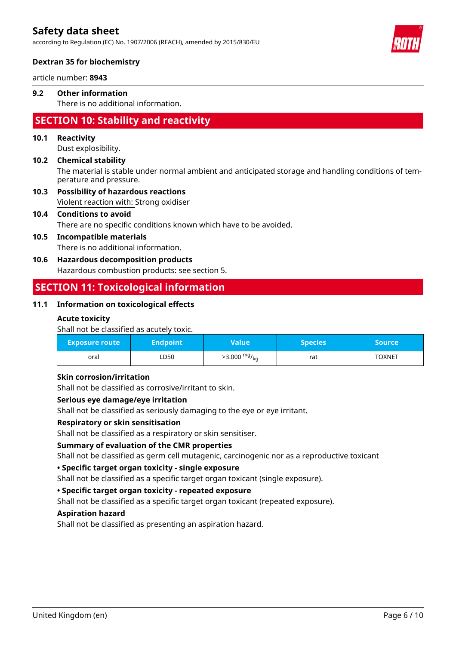according to Regulation (EC) No. 1907/2006 (REACH), amended by 2015/830/EU



# **Dextran 35 for biochemistry**

article number: **8943**

# **9.2 Other information**

There is no additional information.

# **SECTION 10: Stability and reactivity**

# **10.1 Reactivity**

Dust explosibility.

# The material is stable under normal ambient and anticipated storage and handling conditions of temperature and pressure. **10.2 Chemical stability**

Violent reaction with: Strong oxidiser **10.3 Possibility of hazardous reactions**

# **10.4 Conditions to avoid**

There are no specific conditions known which have to be avoided.

# **10.5 Incompatible materials**

There is no additional information.

# **10.6 Hazardous decomposition products**

Hazardous combustion products: see section 5.

# **SECTION 11: Toxicological information**

# **11.1 Information on toxicological effects**

## **Acute toxicity**

Shall not be classified as acutely toxic.

| <b>Exposure route</b> | Endpoint <b>b</b> | Value                  | <b>Species</b> ' | Source        |
|-----------------------|-------------------|------------------------|------------------|---------------|
| oral                  | ∟D50              | $>3.000 \frac{mg}{kg}$ | rat              | <b>TOXNET</b> |

## **Skin corrosion/irritation**

Shall not be classified as corrosive/irritant to skin.

## **Serious eye damage/eye irritation**

Shall not be classified as seriously damaging to the eye or eye irritant.

## **Respiratory or skin sensitisation**

Shall not be classified as a respiratory or skin sensitiser.

## **Summary of evaluation of the CMR properties**

Shall not be classified as germ cell mutagenic, carcinogenic nor as a reproductive toxicant

## **• Specific target organ toxicity - single exposure**

Shall not be classified as a specific target organ toxicant (single exposure).

## **• Specific target organ toxicity - repeated exposure**

Shall not be classified as a specific target organ toxicant (repeated exposure).

## **Aspiration hazard**

Shall not be classified as presenting an aspiration hazard.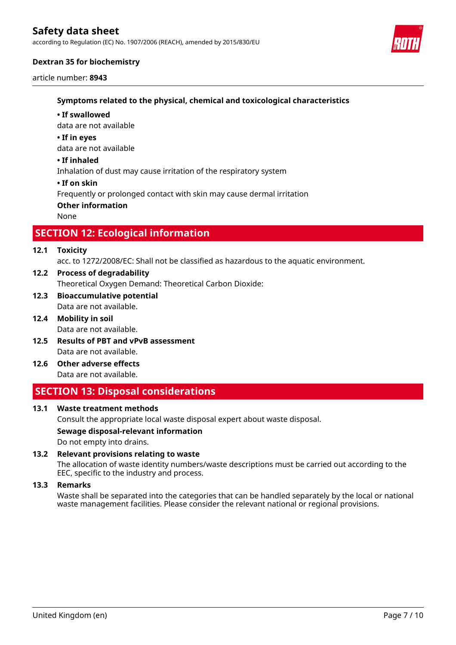according to Regulation (EC) No. 1907/2006 (REACH), amended by 2015/830/EU



# **Dextran 35 for biochemistry**

article number: **8943**

# **Symptoms related to the physical, chemical and toxicological characteristics**

#### **• If swallowed**

data are not available

#### **• If in eyes**

data are not available

### **• If inhaled**

Inhalation of dust may cause irritation of the respiratory system

#### **• If on skin**

Frequently or prolonged contact with skin may cause dermal irritation

#### **Other information**

None

# **SECTION 12: Ecological information**

## **12.1 Toxicity**

acc. to 1272/2008/EC: Shall not be classified as hazardous to the aquatic environment.

- Theoretical Oxygen Demand: Theoretical Carbon Dioxide: **12.2 Process of degradability**
- Data are not available. **12.3 Bioaccumulative potential**
- Data are not available. **12.4 Mobility in soil**
- Data are not available. **12.5 Results of PBT and vPvB assessment**
- Data are not available. **12.6 Other adverse effects**

# **SECTION 13: Disposal considerations**

## **13.1 Waste treatment methods**

Consult the appropriate local waste disposal expert about waste disposal.

# **Sewage disposal-relevant information**

Do not empty into drains.

## **13.2 Relevant provisions relating to waste**

The allocation of waste identity numbers/waste descriptions must be carried out according to the EEC, specific to the industry and process.

#### **13.3 Remarks**

Waste shall be separated into the categories that can be handled separately by the local or national waste management facilities. Please consider the relevant national or regional provisions.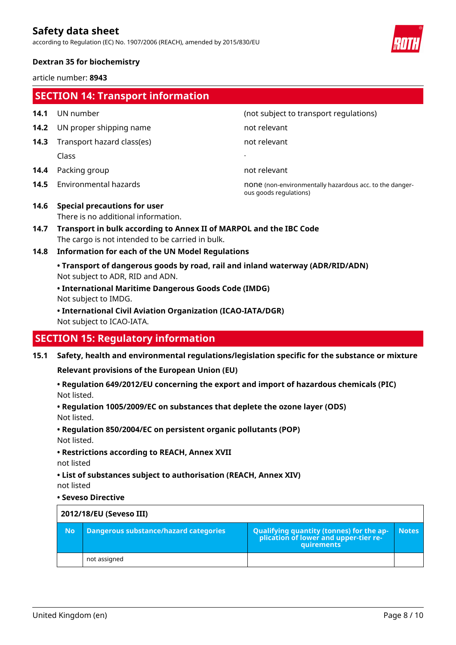according to Regulation (EC) No. 1907/2006 (REACH), amended by 2015/830/EU



# **Dextran 35 for biochemistry**

article number: **8943**

|      | <b>SECTION 14: Transport information</b>                                                                               |                                                                                                |  |
|------|------------------------------------------------------------------------------------------------------------------------|------------------------------------------------------------------------------------------------|--|
| 14.1 | UN number                                                                                                              | (not subject to transport regulations)                                                         |  |
| 14.2 | UN proper shipping name                                                                                                | not relevant                                                                                   |  |
| 14.3 | Transport hazard class(es)                                                                                             | not relevant                                                                                   |  |
|      | Class                                                                                                                  |                                                                                                |  |
| 14.4 | Packing group                                                                                                          | not relevant                                                                                   |  |
| 14.5 | Environmental hazards                                                                                                  | none (non-environmentally hazardous acc. to the danger-<br>ous goods regulations)              |  |
| 14.6 | <b>Special precautions for user</b><br>There is no additional information.                                             |                                                                                                |  |
| 14.7 | Transport in bulk according to Annex II of MARPOL and the IBC Code<br>The cargo is not intended to be carried in bulk. |                                                                                                |  |
| 14.8 | <b>Information for each of the UN Model Regulations</b>                                                                |                                                                                                |  |
|      | • Transport of dangerous goods by road, rail and inland waterway (ADR/RID/ADN)<br>Not subject to ADR, RID and ADN.     |                                                                                                |  |
|      | • International Maritime Dangerous Goods Code (IMDG)<br>Not subject to IMDG.                                           |                                                                                                |  |
|      | • International Civil Aviation Organization (ICAO-IATA/DGR)<br>Not subject to ICAO-IATA.                               |                                                                                                |  |
|      | <b>SECTION 15: Regulatory information</b>                                                                              |                                                                                                |  |
| 15.1 | <b>Relevant provisions of the European Union (EU)</b>                                                                  | Safety, health and environmental regulations/legislation specific for the substance or mixture |  |

Not listed. **• Regulation 649/2012/EU concerning the export and import of hazardous chemicals (PIC)**

Not listed. **• Regulation 1005/2009/EC on substances that deplete the ozone layer (ODS)**

**• Regulation 850/2004/EC on persistent organic pollutants (POP)**

Not listed.

**• Restrictions according to REACH, Annex XVII**

not listed

not listed **• List of substances subject to authorisation (REACH, Annex XIV)**

#### **• Seveso Directive**

| 2012/18/EU (Seveso III) |                                       |                                                                                            |              |
|-------------------------|---------------------------------------|--------------------------------------------------------------------------------------------|--------------|
| <b>No</b>               | Dangerous substance/hazard categories | Qualifying quantity (tonnes) for the application of lower and upper-tier re-<br>quirements | <b>Notes</b> |
|                         | not assigned                          |                                                                                            |              |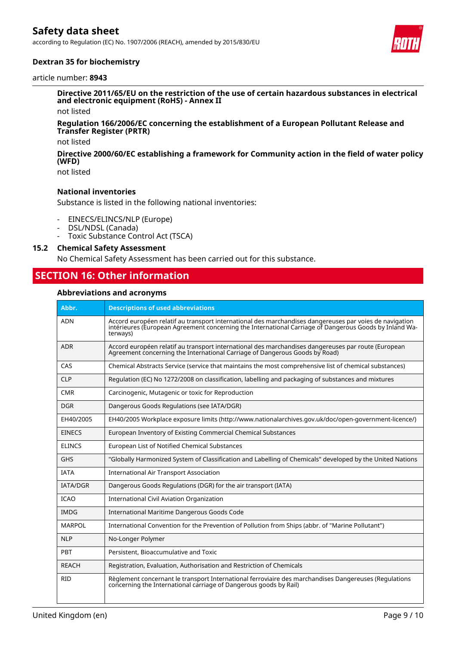according to Regulation (EC) No. 1907/2006 (REACH), amended by 2015/830/EU



## **Dextran 35 for biochemistry**

#### article number: **8943**

**Directive 2011/65/EU on the restriction of the use of certain hazardous substances in electrical and electronic equipment (RoHS) - Annex II**

not listed

#### **Regulation 166/2006/EC concerning the establishment of a European Pollutant Release and Transfer Register (PRTR)**

not listed

#### **Directive 2000/60/EC establishing a framework for Community action in the field of water policy (WFD)**

not listed

## **National inventories**

Substance is listed in the following national inventories:

- EINECS/ELINCS/NLP (Europe)
- DSL/NDSL (Canada)
- Toxic Substance Control Act (TSCA)

#### **15.2 Chemical Safety Assessment**

No Chemical Safety Assessment has been carried out for this substance.

# **SECTION 16: Other information**

#### **Abbreviations and acronyms**

| Abbr.           | <b>Descriptions of used abbreviations</b>                                                                                                                                                                                     |
|-----------------|-------------------------------------------------------------------------------------------------------------------------------------------------------------------------------------------------------------------------------|
| <b>ADN</b>      | Accord européen relatif au transport international des marchandises dangereuses par voies de navigation<br>intérieures (European Agreement concerning the International Carriage of Dangerous Goods by Inland Wa-<br>terways) |
| <b>ADR</b>      | Accord européen relatif au transport international des marchandises dangereuses par route (European<br>Agreement concerning the International Carriage of Dangerous Goods by Road)                                            |
| CAS             | Chemical Abstracts Service (service that maintains the most comprehensive list of chemical substances)                                                                                                                        |
| <b>CLP</b>      | Regulation (EC) No 1272/2008 on classification, labelling and packaging of substances and mixtures                                                                                                                            |
| <b>CMR</b>      | Carcinogenic, Mutagenic or toxic for Reproduction                                                                                                                                                                             |
| <b>DGR</b>      | Dangerous Goods Regulations (see IATA/DGR)                                                                                                                                                                                    |
| EH40/2005       | EH40/2005 Workplace exposure limits (http://www.nationalarchives.gov.uk/doc/open-government-licence/)                                                                                                                         |
| EINECS          | European Inventory of Existing Commercial Chemical Substances                                                                                                                                                                 |
| <b>ELINCS</b>   | <b>European List of Notified Chemical Substances</b>                                                                                                                                                                          |
| <b>GHS</b>      | "Globally Harmonized System of Classification and Labelling of Chemicals" developed by the United Nations                                                                                                                     |
| <b>IATA</b>     | <b>International Air Transport Association</b>                                                                                                                                                                                |
| <b>IATA/DGR</b> | Dangerous Goods Regulations (DGR) for the air transport (IATA)                                                                                                                                                                |
| <b>ICAO</b>     | <b>International Civil Aviation Organization</b>                                                                                                                                                                              |
| <b>IMDG</b>     | International Maritime Dangerous Goods Code                                                                                                                                                                                   |
| <b>MARPOL</b>   | International Convention for the Prevention of Pollution from Ships (abbr. of "Marine Pollutant")                                                                                                                             |
| <b>NLP</b>      | No-Longer Polymer                                                                                                                                                                                                             |
| PBT             | Persistent, Bioaccumulative and Toxic                                                                                                                                                                                         |
| <b>REACH</b>    | Registration, Evaluation, Authorisation and Restriction of Chemicals                                                                                                                                                          |
| <b>RID</b>      | Règlement concernant le transport International ferroviaire des marchandises Dangereuses (Requlations<br>concerning the International carriage of Dangerous goods by Rail)                                                    |